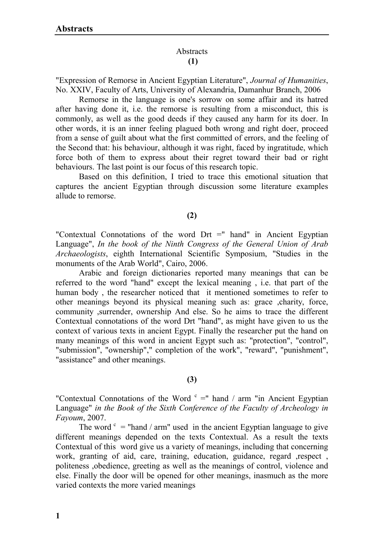# Abstracts **(1)**

"Expression of Remorse in Ancient Egyptian Literature", *Journal of Humanities*, No. XXIV, Faculty of Arts, University of Alexandria, Damanhur Branch, 2006

Remorse in the language is one's sorrow on some affair and its hatred after having done it, i.e. the remorse is resulting from a misconduct, this is commonly, as well as the good deeds if they caused any harm for its doer. In other words, it is an inner feeling plagued both wrong and right doer, proceed from a sense of guilt about what the first committed of errors, and the feeling of the Second that: his behaviour, although it was right, faced by ingratitude, which force both of them to express about their regret toward their bad or right behaviours. The last point is our focus of this research topic.

Based on this definition, I tried to trace this emotional situation that captures the ancient Egyptian through discussion some literature examples allude to remorse.

## **(2)**

"Contextual Connotations of the word Drt =" hand" in Ancient Egyptian Language", *In the book of the Ninth Congress of the General Union of Arab Archaeologists*, eighth International Scientific Symposium, "Studies in the monuments of the Arab World", Cairo, 2006.

Arabic and foreign dictionaries reported many meanings that can be referred to the word "hand" except the lexical meaning , i.e. that part of the human body , the researcher noticed that it mentioned sometimes to refer to other meanings beyond its physical meaning such as: grace ,charity, force, community ,surrender, ownership And else. So he aims to trace the different Contextual connotations of the word Drt "hand", as might have given to us the context of various texts in ancient Egypt. Finally the researcher put the hand on many meanings of this word in ancient Egypt such as: "protection", "control", "submission", "ownership"," completion of the work", "reward", "punishment", "assistance" and other meanings.

## **(3)**

"Contextual Connotations of the Word  $c =$ " hand / arm "in Ancient Egyptian" Language" *in the Book of the Sixth Conference of the Faculty of Archeology in Fayoum*, 2007.

The word  $c =$  "hand / arm" used in the ancient Egyptian language to give different meanings depended on the texts Contextual. As a result the texts Contextual of this word give us a variety of meanings, including that concerning work, granting of aid, care, training, education, guidance, regard , respect, politeness ,obedience, greeting as well as the meanings of control, violence and else. Finally the door will be opened for other meanings, inasmuch as the more varied contexts the more varied meanings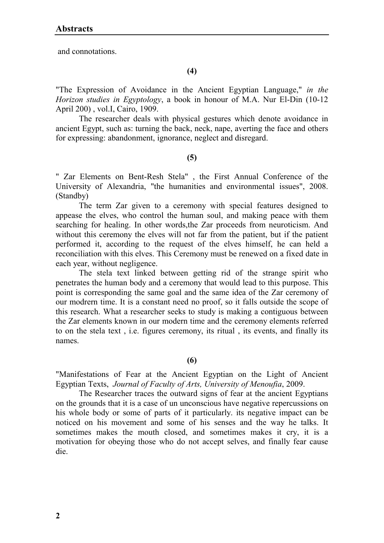and connotations.

# **(4)**

"The Expression of Avoidance in the Ancient Egyptian Language," *in the Horizon studies in Egyptology*, a book in honour of M.A. Nur El-Din (10-12 April 200) , vol.I, Cairo, 1909.

The researcher deals with physical gestures which denote avoidance in ancient Egypt, such as: turning the back, neck, nape, averting the face and others for expressing: abandonment, ignorance, neglect and disregard.

## **(5)**

" Zar Elements on Bent-Resh Stela" , the First Annual Conference of the University of Alexandria, "the humanities and environmental issues", 2008. (Standby)

The term Zar given to a ceremony with special features designed to appease the elves, who control the human soul, and making peace with them searching for healing. In other words,the Zar proceeds from neuroticism. And without this ceremony the elves will not far from the patient, but if the patient performed it, according to the request of the elves himself, he can held a reconciliation with this elves. This Ceremony must be renewed on a fixed date in each year, without negligence.

The stela text linked between getting rid of the strange spirit who penetrates the human body and a ceremony that would lead to this purpose. This point is corresponding the same goal and the same idea of the Zar ceremony of our modrern time. It is a constant need no proof, so it falls outside the scope of this research. What a researcher seeks to study is making a contiguous between the Zar elements known in our modern time and the ceremony elements referred to on the stela text , i.e. figures ceremony, its ritual , its events, and finally its names.

# **(6)**

"Manifestations of Fear at the Ancient Egyptian on the Light of Ancient Egyptian Texts, *Journal of Faculty of Arts, University of Menoufia*, 2009.

The Researcher traces the outward signs of fear at the ancient Egyptians on the grounds that it is a case of un unconscious have negative repercussions on his whole body or some of parts of it particularly. its negative impact can be noticed on his movement and some of his senses and the way he talks. It sometimes makes the mouth closed, and sometimes makes it cry, it is a motivation for obeying those who do not accept selves, and finally fear cause die.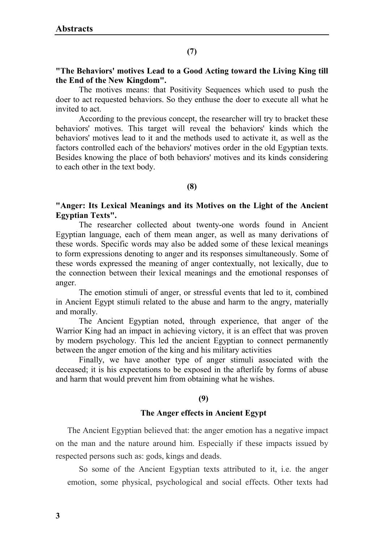# **"The Behaviors' motives Lead to a Good Acting toward the Living King till the End of the New Kingdom".**

The motives means: that Positivity Sequences which used to push the doer to act requested behaviors. So they enthuse the doer to execute all what he invited to act.

According to the previous concept, the researcher will try to bracket these behaviors' motives. This target will reveal the behaviors' kinds which the behaviors' motives lead to it and the methods used to activate it, as well as the factors controlled each of the behaviors' motives order in the old Egyptian texts. Besides knowing the place of both behaviors' motives and its kinds considering to each other in the text body.

## **(8)**

# **"Anger: Its Lexical Meanings and its Motives on the Light of the Ancient Egyptian Texts".**

The researcher collected about twenty-one words found in Ancient Egyptian language, each of them mean anger, as well as many derivations of these words. Specific words may also be added some of these lexical meanings to form expressions denoting to anger and its responses simultaneously. Some of these words expressed the meaning of anger contextually, not lexically, due to the connection between their lexical meanings and the emotional responses of anger.

The emotion stimuli of anger, or stressful events that led to it, combined in Ancient Egypt stimuli related to the abuse and harm to the angry, materially and morally.

The Ancient Egyptian noted, through experience, that anger of the Warrior King had an impact in achieving victory, it is an effect that was proven by modern psychology. This led the ancient Egyptian to connect permanently between the anger emotion of the king and his military activities

Finally, we have another type of anger stimuli associated with the deceased; it is his expectations to be exposed in the afterlife by forms of abuse and harm that would prevent him from obtaining what he wishes.

## **(9)**

# **The Anger effects in Ancient Egypt**

The Ancient Egyptian believed that: the anger emotion has a negative impact on the man and the nature around him. Especially if these impacts issued by respected persons such as: gods, kings and deads.

So some of the Ancient Egyptian texts attributed to it, i.e. the anger emotion, some physical, psychological and social effects. Other texts had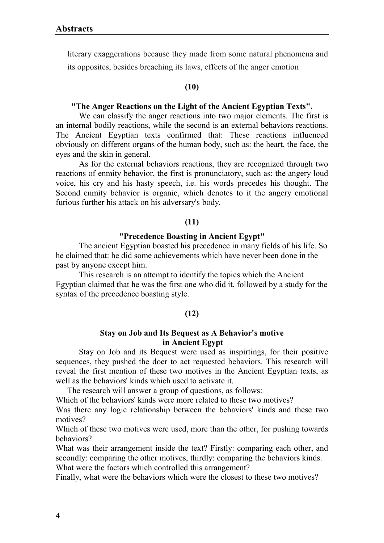literary exaggerations because they made from some natural phenomena and its opposites, besides breaching its laws, effects of the anger emotion

## **(10)**

## **"The Anger Reactions on the Light of the Ancient Egyptian Texts".**

We can classify the anger reactions into two major elements. The first is an internal bodily reactions, while the second is an external behaviors reactions. The Ancient Egyptian texts confirmed that: These reactions influenced obviously on different organs of the human body, such as: the heart, the face, the eyes and the skin in general.

As for the external behaviors reactions, they are recognized through two reactions of enmity behavior, the first is pronunciatory, such as: the angery loud voice, his cry and his hasty speech, i.e. his words precedes his thought. The Second enmity behavior is organic, which denotes to it the angery emotional furious further his attack on his adversary's body.

## **(11)**

## **"Precedence Boasting in Ancient Egypt"**

The ancient Egyptian boasted his precedence in many fields of his life. So he claimed that: he did some achievements which have never been done in the past by anyone except him.

This research is an attempt to identify the topics which the Ancient Egyptian claimed that he was the first one who did it, followed by a study for the syntax of the precedence boasting style.

## **(12)**

## **Stay on Job and Its Bequest as A Behavior's motive in Ancient Egypt**

Stay on Job and its Bequest were used as inspirtings, for their positive sequences, they pushed the doer to act requested behaviors. This research will reveal the first mention of these two motives in the Ancient Egyptian texts, as well as the behaviors' kinds which used to activate it.

The research will answer a group of questions, as follows:

Which of the behaviors' kinds were more related to these two motives?

Was there any logic relationship between the behaviors' kinds and these two motives?

Which of these two motives were used, more than the other, for pushing towards behaviors?

What was their arrangement inside the text? Firstly: comparing each other, and secondly: comparing the other motives, thirdly: comparing the behaviors kinds. What were the factors which controlled this arrangement?

Finally, what were the behaviors which were the closest to these two motives?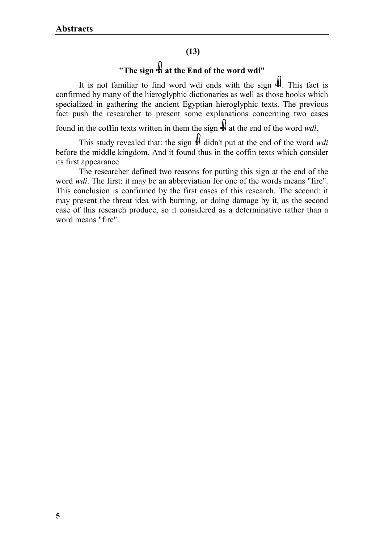# **(13)**

# **"The sign at the End of the word wdi"**

It is not familiar to find word wdi ends with the sign  $\frac{1}{2}$ . This fact is confirmed by many of the hieroglyphic dictionaries as well as those books which specialized in gathering the ancient Egyptian hieroglyphic texts. The previous fact push the researcher to present some explanations concerning two cases

found in the coffin texts written in them the sign at the end of the word *wdi*.

This study revealed that: the sign  $\frac{1}{24}$  didn't put at the end of the word *wdi* before the middle kingdom. And it found thus in the coffin texts which consider its first appearance.

The researcher defined two reasons for putting this sign at the end of the word *wdi*. The first: it may be an abbreviation for one of the words means "fire". This conclusion is confirmed by the first cases of this research. The second: it may present the threat idea with burning, or doing damage by it, as the second case of this research produce, so it considered as a determinative rather than a word means "fire".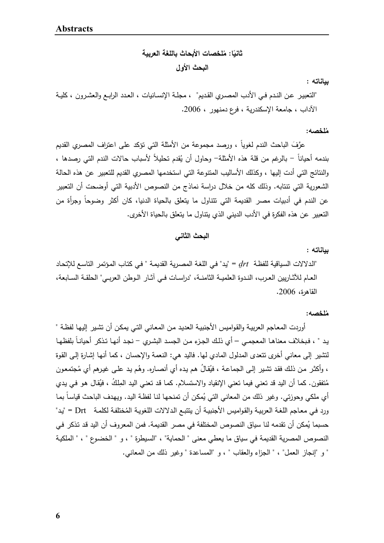**م الأبحاث باللغة العر بیة ُ ثانی لخصات ًا: البحث الأول** 

**بیاناته :** 

"التعبیـر عــن النــدم فــي الأدب المصــري القــدیم" ، مجلــة الإنســانیات ، العــدد الرابــع والعشــرون ، كلیــة الآداب ، جامعة الإسكندریة ، فرع دمنهور ، .2006

### **م ُلخصه:**

عرَّفَ الباحث الندم لغويا ، ورصد مجموعة من الأمثلة التي تؤكد على اعتراف المصري القديم بندمه أحيانا – بالرغم من قلة هذه الأمثلة– وحاول أن يُقدم تحليلا لأسباب حالات الندم التي رصدها ، والنتائج التي أدت إلیها ، وكذلك الأسالیب المتنوعة التي استخدمها المصري القدیم للتعبیر عن هذه الحالة الشعوریة التي تنتابه. وذلك كله من خلال دراسة نماذج من النصوص الأدبیة التي أوضحت أن التعبیر عن الندم في أدبيات مصر القديمة التي تتتاول ما يتعلق بالحياة الدنيا، كان أكثر وضوحا وجرأة من التعبیر عن هذه الفكرة في الأدب الدیني الذي یتناول ما یتعلق بالحیاة الأخرى.

### **البحث الثاني**

### **بیاناته :**

"الـدلالات السـیاقیة للفظـة *Drt*" = یـد" فـي اللغـة المصـریة القدیمـة " فـي كتـاب المـؤتمر التاسـع للإتحـاد العــام للآثــاریین العــرب، النــدوة العلمیــة الثامنــة، "دراســات فــي آثــار الــوطن العربــي" الحلقــة الســابعة، القاهرة، .2006

### **م ُلخصه:**

 أوردت المعـاجم العربیـة والقـوامیس الأجنبیـة العدیـد مـن المعـاني التـي یمكـن أن تشـیر إلیهـا لفظـة " بـد " ، فبخلاف معناهـا المعجمـي – أي ذلك الجـزء مـن الجسـد البشـري – نجـد أنـهـا تـذكر أحيانـا بلفظهـا لتشیر إلى معاني أخرى تتعدى المدلول المادي لها. فالید هي: النعمة والإحسان ، كما أنهـا إشـارة إلـى القـوة ، وأكثـر من ذلك فقد تشـير إلـى الـجماعـة ، فَيُقالُ هم يده أي أنصـاره. وهُم يد علـى غيرهم أي مُجتمعون مُنفقون. كما أن اليد قد تعني فيما تعني الإنقياد والاستسلام. كمـا قد تعنـي اليد المِلكُ ، فيُقال هو فـي يدي أي ملكي وحوزتي. وغير ذلك من المعاني التي يُمكن أن تمنحها لنـا لفظـة اليد. ويـهدف الباحث قياسـا بمـا ررد فـي معـاجم اللغـة الـعربيـة والقواميس الأجنبيـة أن ينتبـع الـدلالات اللغويـة المُختلفـة لكلمـة Drt = "يد حسبما يُمكن أن تقدمه لنا سياق النصوص المختلفة في مصر القديمة. فمن المعروف أن اليد قد تذكر في النصوص المصریة القدیمة في سیاق ما یعطي معنى " الحمایة" ، "السـیطرة " ، و " الخضـوع " ، " الملكیـة " و "إنجاز العمل" ، " الجزاء والعقاب " ، و "المساعدة " وغیر ذلك من المعاني.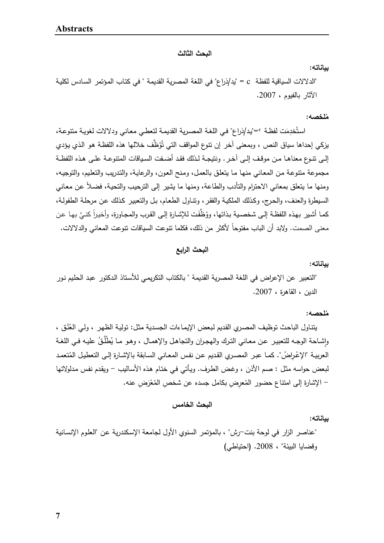**البحث الثالث** 

**بیاناته:** 

"الدلالات السیاقیة للفظة c" = ید/ذراع" في اللغة المصریة القدیمة " في كتـاب المـؤتمر السـادس لكلیـة الآثار بالفیوم ، .2007

### **م ُلخصه:**

استُخدِمَت لفظـة ؟="يد/ذراع" فـي اللغـة المصـريـة القديمـة لتعطـي معـانـي ودلالات لغويـة متنوعـة، يزكي إحداها سياق النص ، وبمعنى آخر إن نتوع المواقف التي تُوَظَّف خلالها هذه اللفظـة هو الذي يؤدي إلــى تنــوع معناهــا مــن موقــف إلــى آخــر. ونتیجــة لــذلك فقــد أضــفت الســیاقات المتنوعــة علــى هــذه اللفظــة مجموعة متنوعـة مـن المعـاني منهـا مـا یتعلـق بالعمـل، ومـنح العـون، والرعایـة، والتـدریب والتعلـیم، والتوجیـه، ومنها ما يتعلق بمعاني الاحترام والتأدب والطاعة، ومنها ما يشير إلى الترحيب والتحية، فضـلا عن معاني السـیطرة والعنـف، والحـرج، و كـذلك الملكیـة والفقـر، و تنـاول الطعـام، بـل والتعبیـر كـذلك عـن مرحلـة الطفولـة، كما أشير بهذه اللفظـة إلـى شخصـية بـذاتها، ووُظّفَت للإشـارة إلـى القرب والمجـاورة، وأخيراً كنـيَّ بـهـا عن معنى الصمت. ولابد أن الباب مفتوحا لأكثر من ذلك، فكلما نتوعت السياقات نتوعت المعاني والدلالات.

**البحث الرابع** 

### **بیاناته:**

"التعبیر عن الإعراض في اللغة المصریة القدیمة " بالكتاب التكریمـي للأسـتاذ الـدكتور عبـد الحلـیم نـور الدین ، القاهرة ، .2007

### **م ُلحصه:**

بتنـاول الباحث توظيف المصـري القديم لبعض الإيمـاءات الجسدية مثل: توليـة الظـهر ، ولـي الـعُنُق ، وإشـاحة الوجـه للتعبيـر عـن معـاني التـرك والمجـران والتجاهـل والإهمـال ، وهـو مـا يُطْلُقُ عليـه فـي اللغـة العربيــة "الإعْـرِاضُ". كمــا عبـر المصـري القديم عن نفس المعـاني الســابقة بالإشـارة إلـى التعطيـل المُتعمـد لبعض حواسه مثـل : صـم الأذن ، وغـض الطـرف. ویـأتي فـي ختـام هـذه الأسـالیب - ویقـدم نفـس مـدلولاتها – الإشارة إلى امتناع حضور المُعرِضِ بكامل جسده عن شخصِ المُعْرَضِ عنه.

### **البحث الخامس**

**بیاناته:** 

"عناصر الزار في لوحة بنت-رش" ، بالمؤتمر السنوي الأول لجامعة الإسـكندریة عـن "العلـوم الإنسـانیة وقضایا البیئة" ، .2008 (احتیاطي)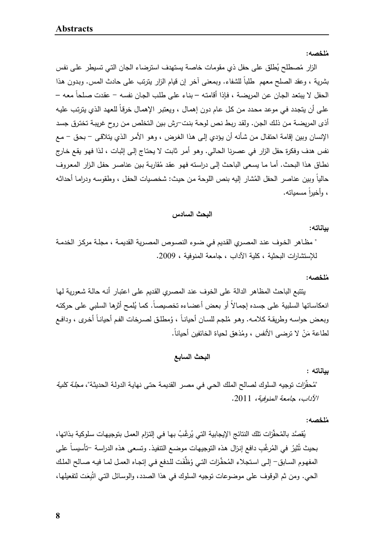**م ُلخصه:** 

الزار مُصطلح يُطلق على حفل ذي مقومات خاصـة يستهدف استرضـاء الجان التـي تسيطر علـى نفس بثىرية ، وعقد الصلح معهم طلبا للشفاء. وبمعنى اخر إن قيام الزار بترتب على حادث المس. وبدون هذا الحفل لا يبتعد الجـان عن المريضـة ، فإذا أقامتـه – بنـاء علـى طلب الجـان نفسـه – عقدت صـلحا معـه – علـى أن يتجدد فـي موعد محدد من كل عام دون إهمـال ، ويعتبر الإهمـال خرقـا للعهد الذي يترتب عليـه أذى المریضـة مـن ذلـك الجـن. ولقـد ربـط نـص لوحـة بنـت-رش بـین الـتخلص مـن روح غریبـة تختـرق جسـد الإنسان وبین إقامة احتفـال مـن شـأنه أن یـؤدي إلـى هـذا الغـرض ، وهـو الأمـر الـذي یتلاقـى - بحـق - مـع نفس هدف وفكرة حفل الزار في عصرنا الحـالي. وهـو أمـر ثابـت لا یحتـاج إلـى إثبـات ، لـذا فهـو یقـع خـارج نطـاق هذا البحث. أمـا مـا يسـعـى الباحث إلـى دراسته فهو عقد مُقاربـة بـين عناصـر حفل الـزار المعروف حاليا وبين عناصر الحفل المُشار إليه بنص اللوحة من حيث: شخصيات الحفل ، وطقوسه ودرامـا أحداثـه ، وأخیرا ً مسمیاته.

## **البحث السادس**

**بیاناته:**

" مظـاهر الخـوف عنـد المصـري القـدیم فـي ضـوء النصـوص المصـریة القدیمـة ، مجلـة مركـز الخدمـة للإستشارات البحثیة ، كلیة الآداب ، جامعة المنوفیة ، 2009.

### **م ُلخصه:**

یتتبع الباحث المظاهر الدالة على الخوف عنـد المصـري القـدیم علـى اعتبـار أنـه حالـة شـعوریة لهـا انعكاساتها السلبية على جسده إجمالا أو بعض أعضـاءه تخصيصـا. كمـا يُلمـح أثرها السلبـي علـى حركتـه وبعض حواسـه وطريقـة كلامــه. وهـو مُلجم للسـان أحيانـا ، وُمطلـق لصـرخات الفم أحيانـا أخـرى ، ودافـع لطاعة مَنْ لا ترضـي الأنفس ، ومُذهق لحياة الخائفين أحيانا.

# **البحث السابع**

**بیاناته :** 

"مُحفِّزات توجيه السلوك لصالح الملك الحي في مصر القديمـة حتى نـهايـة الدولـة الحديثـة"، *مجلـة كليـة* الآداب، جامعة المنوفیة، .2011

**م ُلخصه:**

بُقصَّد بالمُحفِّزات تلك النتائج الإيجابية التي يُرغَّبُ بـها فـي إلتزام الـعمل بتوجيهات سلوكية بذاتها،<br>. بحيث تُثيرُ في المُرغَّبِ دافع إنزال هذه التوجيهات موضـع النتفيذ. وتسـعـى هذه الدراسـة –تأسيساً علـى المفهوم السابق– إلـى استجلاء المُحفِّزات التي وُظُّفَت للدفع في إتجـاه العمل لمـا فيـه صــالح الملك الحي. ومن ثم الوقوف على موضوعات توجيه السلوك في هذا الصدد، والوسـائل التـي انْبُـِعَت لتفعيلها،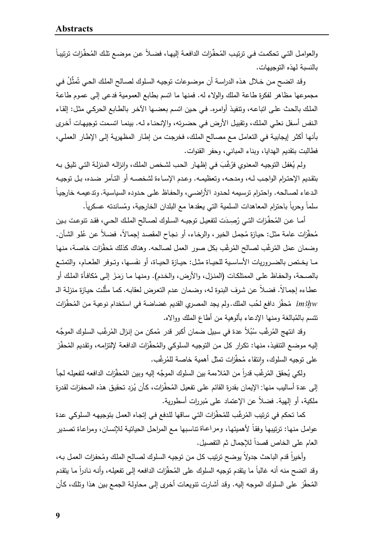رالعوامـل التـي تحكمـت فـي ترتيب المُحفَّزات الدافعـة إليهـا، فضــلاً عـن موضــع تلـك المُحفِّزات ترتيبـاً بالنسبة لهذه التوجیهات.

رقد اتضـح من خـلال هذه الدراسـة أن موضـوعات توجيـه السلوك لصــالح الملك الحـي تُمثِّلُ فـي مجموعها مظاهر لفكرة طاعة الملك والولاء له. فمنها ما اتسم بطابع العمومیة فدعى إلـى عمـوم طاعـة الملـك بالحـث علـى اتباعـه، وتنفیـذ أوامـره. فـي حـین اتسـم بعضـها الآخـر بالطـابع الحركـي مثـل: إلقـاء الـنفس أسـفل نعلـي الملـك، وتقبیـل الأرض فــي حضـرته، والإنحنــاء لـه. بینمـا اتسـمت توجیهـات أخــرى بأنهـا أكثـر إیجابیـة فـي التعامـل مـع مصـالح الملـك، فخرجـت مـن إطـار المظهریـة إلـى الإطـار العملـي، فطالبت بتقدیم الهدایا، وبناء المباني، وحفر القنوات.

رلم يُغفل التوجيـه المعنوي فرُغًبَ فـي إظـهـار الـحب لشـخص الملك، وإنزالـه المنزلـة التـي تليق بـه<br>. بتقــدیم الإحتــرام الواجــب لــه، ومدحــه، وتعظیمــه. وعــدم الإســاءة لشخصــه أو التــآمر ضــده، بــل توجیــه الدعاء لصـالحه. واحترام ترسيمه لحدود الأراضـي، والحفاظ علـى حدوده السياسية. وتدعيمـه خارجيـا سلما وحربا باحترام المعاهدات السلمية التي يعقدها مع البلدان الخارجية، ومُساندته عسكريا.<br>-

أمـا عـن المُحفِّزات التـي رُصِـدَت لتفعيـل توجيــه السـلوك لصــالح الملـك الـحـي، فقد تتوعـت بـين مُحفَّزات عامة مثل: حيازة مُجمل الخير ، والرخاء، أو نجاح المقصد إجمـالاً، فضـلاً عن عُلو الشأن.<br>-وضمان عمَل المُرغَّب لصالح المُرغَّب بكل صور العمل لصالحه. وهناك كذلك مُحفَّزات خاصـة، منها مــا يخــتص بالضــروريات الأساسـية للحيــاة مثـل: حيــازة الحيــاة، أو نفَســها، وتـوفر الطعـام، والتمتــع بالصـحة، والحفـاظ علـى الممتلكـات (المنـزل، والأرض، والخـدم). ومنـهـا مـا رَمَزَ إلـى مُكافـأة الملك أو عطـاءه إجمـالاً. فضـلاً عن شرف البنوة لـه، وضمان عدم التعرض لعقابـه. كمـا مثَّلت حيـازة منزلـة الــ im3hw مُحفِّز دافع لحُب الملك.ولم يجد المصر*ي* القديم غضاضة في استخدام نوعيـة مـن المُحفِّزات تتسم بالمُبالغة ومنها الإدعاء بألوهية من أطاع الملك ووالاه.

رقد انتهج المُرغَّب سُبُلاً عدة في سبيل ضمان أكبر قدر مُمكن من إنزال المُرغَّب السلوك الموجَّه إليه موضـع التنفيذ، منهـا: تكرار كل من التوجيـه السلوكي والمُحفِّزات الدافعـة لإلتزامـه، وتقديم المُحفِّز على توجيه السلوك، وإِنتقاء مُحفِّزات تمثل أهمية خاصـة للمُرغَّب.

رلكي يُحقق المُرغِّب قدراً من المُلاءمة بين السلوك الموجَّه إليه وبين المُحفَّزات الدافعه لتفعيله لجأ إلى عدة أساليب منها: الإيمان بقدرة القائم على تفعيل المُحفِّزات، كأن يُرَد تحقيق هذه المحفزات لقدرة ملكية، أو إل<sub>ع</sub>ية. فضلا عن الإعتماد على مُبررات أسطورية.<br>.

كما تحكم في ترتيب المُرغِّب للمُحفِّزات التي ساقها للدفع في إتجاه العمل بتوجيهه السلوكي عدة عوامل منها: ترتيبها وفقاً لأهميتها، ومراعـاة تتاسبها مـع المراحل الحياتيـة للإنسـان، ومراعـاة تصـدير العام على الخاص قصداً للإجمال ثم التفصیل.

وأخيرا قدم الباحث جدولا يوضح ترتيب كل من توجيه السلوك لصـالح الملك ومُحفزات العمل بـه، وقد انضىح منه أنه غالباً ما يتقدم توجيه السلوك على المُحفّزات الدافعه إلى تفعيلـه، وأنـه نـادراً مـا يتقدم المُحفِّز على السلوك الموجه إليه. وقد أشارت نتويعات أخرى إلى محاولـة الجمـع بـين هذا وتلك، كأن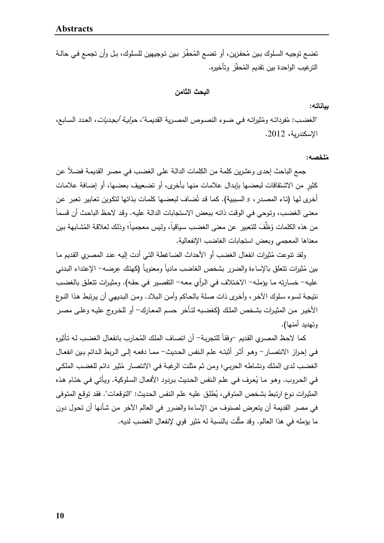تضـع توجيـه السلوك بـين مُحفزين، أو تضـع المُحفِّز بـين توجيهين للسلوك، بـل وأن تجمـع فـي حالــة الترغيب الواحدة بين تقديم المُحفِّز وتأخيره.

### **البحث الثامن**

### **بیاناته:**

"الغضـب: مُفرداتــه ومُثيراتــه فـي ضــوء النصــوص المصــريـة القديمـة"، ح*وليــة أبـجـديات*، الـعـدد الســابـع،<br>" الإسكندریة، .2012

**م ُلخصه:**

جمع الباحث إحدى وعشرين كلمة من الكلمات الدالـة علـى الغضـب فـي مصـر القديمـة فضـلا عن ٍ كثیر من الاشـتقاقات لبعضـها بإبـدال علامـات منهـا بـأخرى، أو تضـعییف بعضـها، أو إضـافة علامـات أخرى لمها (تـاء المصـدر ، 5 السببية). كمـا قد تُضـاف لبعضـها كلمـات بذاتها لتكوين تعـابير تعبر عن معنـى الغضـب، وتوحي فـي الوقت ذاتـه ببعض الاستجابات الدالـة عليـه. وقد لاحظ الباحث أن قسما من هذه الكلمات وُظِّفَ للتعبير عن معنى الغضب سياقياً، وليس معجمياً؛ وذلك لعلاقة المُشابهة بين معناها المعجمي وبعض استجابات الغاضب الإنفعالیة.

ولقد تنوعت ثیرات انفعال الغضب أو الأحداث الضـاغطة التـي أدت إلیـه عنـد المصـري القـدیم م مـا ُ بين مُثيرات نتعلق بالإساءة والضرر بشخص الغاضب مادياً ومعنوياً (كهتك عِرضـه– الإعتداء البدنـي علیـه- خسـارته مـا یؤملـه- الاخـتلاف فـي الـرأي معـه- التقصـیر فـي حقـه). ومثیـرات تتعلـق بالغضـب نتیجـة لسـوء سـلوك الآخـر، وأخـرى ذات صـلة بالحـاكم وأمـن الـبلاد. ومـن البـدیهي أن یـرتبط هـذا النـوع الأخیـر مـن المثیــرات بشــخص الملـك (كغضـبه لتــأخر حسـم المعــارك- أو للخــروج علیـه وعلـى مصـر وتهدید أمنها).

كما لاحظ المصري القديم –وفقا للتجربـة– أن اتصـاف الملك المُحارب بانفعال الغضب لـه تأثيره فــي إحــراز الانتصــار- وهــو أثــر أثبتــه علــم الــنفس الحــدیث- ممــا دفعــه إلــى الــربط الــدائم بــین انفعــال الغضـب لدى الملك ونشـاطـه الحربـي؛ ومن ثـم مثلت الرغبـة فـي الانتصـار مُثير دائـم للغضـب الملكـي فـي الـحروب. وهـو مـا يُعرف فـي علـم النفس الـحديث بـردود الأفعـال السلوكية. ويـأتـي فـي ختـام هذه المثيرات نوع ارتبط بشخص المتوفى، يُطلِق عليه علم النفس الحديث: "التوقعات". فقد توقع المتوفى في مصر القدیمة أن یتعرض لصنوف من الإساءة والضرر في العالم الآخر مـن شـأنها أن تحـول دون ما يؤمله في هذا العالم. وقد مثَّلَت بالنسبة له مُثير قوي لإنفعال الغضب لديه.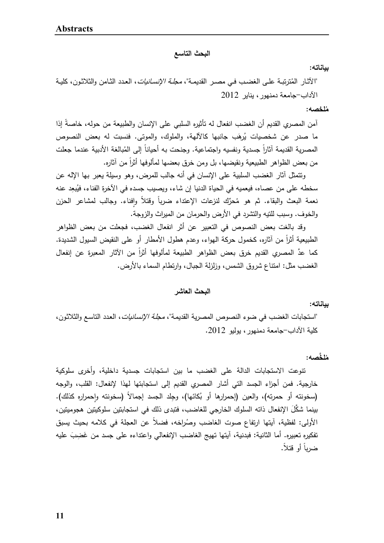**البحث التاسع** 

**بیاناته:** 

"الآثـار المُترنبـة علـى الغضـب فـى مصـر القديمـة"، *مجلـة الإنسـانيات*، العدد الثـامن والثلاثـون، كليـة الآداب-جامعة دمنهور، ینایر 2012

**م ُلخصه:**

امن المصري القديم أن الغضب انفعال له تأثيره السلبي على الإنسان والطبيعة من حوله، خاصة إذا ما صدر عن شخصيات يُرهَب جانبها كالألهة، والملوك، والموتى. فنسبت له بعض النصوص المصرية القديمة اثارا جسدية ونفسيه واجتماعية. وجنحت به أحيانا إلى المُبالغة الأدبية عندما جعلت من بعض الظواهر الطبیعیة ونقیضها، بل ومن خرق بعضها لمألوفها أثرا ً من آثاره.

وتتمثل آثار الغضب السلبیة على الإنسان في أنه جالب للمرض، وهو وسیلة یعبر بها الإله عن سخطه على من عصاه، فيعميه في الحياة الدنيا إن شاء، ويصيب جسده في الآخرة الفناء، فيُبعِد عنه نعمة البعث والبقاء. ثم هو مُحرِّك لنزعات الإعتداء ضربا وقتلا وإِفناء. وجالب لمشاعر الحزن والخوف. وسبب للتیه والتشرد في الأرض والحرمان من المیراث والزوجة.

وقد بالغت بعض النصوص في التعبیر عن أثر انفعال الغضب، فجعلت من بعض الظواهر الطبیعیة أثرا من آثاره، كخمول حركة الهواء، وعدم هطول الأمطار أو على النقیض السیول الشدیدة. ً كما عدَّ المصري القديم خرق بعض الظواهر الطبيعة لمألوفها أثراً من الآثار المعبرة عن إنفعال الغضب مثل: امتناع شروق الشمس، وزلزلة الجبال، وارتطام السماء بالأرض.

**البحث العاشر** 

**بیاناته:** 

"استجابات الغضب في ضوء النصوص المصریة القدیمـة"، مجلـة الإنسـانیات، العـدد التاسـع والثلاثـون، كلیة الآداب-جامعة دمنهور، یولیو .2012

**م ُ َّ لخصه:**

تنوعت الاستجابات الدالة على الغضب ما بین استجابات جسدیة داخلیة، وأخرى سلوكیة خارجیة. فمن أجزاء الجسد التي أشار المصري القدیم إلى استجابتها لهذا لإنفعال: القلب، والوجه (سخونته أو حمرته)، والعين (إحمرارها أو بُكائها)، وجِلد الجسد إجمالاً (سخونته وإحمراره كذلك). بینما شكَّلَ الإنفعال ذاته السلوك الخارجي للغاضب، فتبدى ذلك في استجابتین سلوكیتین هجومیتین، الأولى: لفظية، ايتها ارتفاع صوت الغاضب وصُراخه، فضلا عن العجلة في كلامه بحيث يسبق تفكيره تعبيره. أما الثانية: فبدنية، آيتها تهيج الغاضب الإنفعالي واعتداءه على جسد من غَضِبَ عليه ضربا أو قتلا.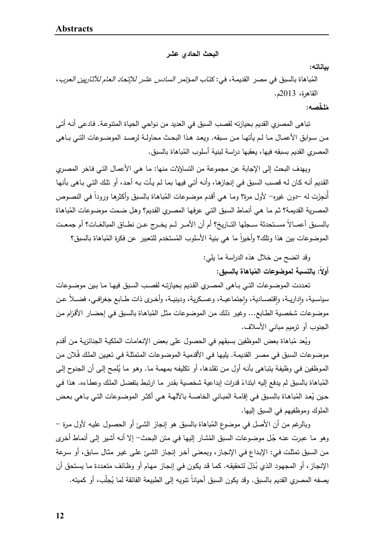**البحث الحادي عشر** 

**بیاناته:** 

المُباهاة بالسبق في مصر القديمـة، في: كتـ*اب المـؤتمر السـادس عشر للإتحـاد الـعام للآثـاريين الـعرب* ، القاهرة، 2013م.

## **م ُ َّ لخصه:**

 تباهى المصري القدیم بحیازته لقصب السبق في العدید من نـواحي الحیـاة المتنوعـة. فـادعى أنـه أتـى مــن ســوابق الأعمــال مــا لــم یأتهــا مــن ســبقه. ویعــد هــذا البحــث محاولــة لرصــد الموضــوعات التــي بــاهى المصري القدیم بسبقه فیها، یعقبها دراسة لبنیة أسلوب المُباهاة بالسبق.

و یهدف البحث إلى الإجابة عن مجموعة من التساؤلات منها: مـا هـي الأعمـال التـي فـاخر المصـري القديم أنـه كـان لـه قصـب السبق فـي إنجازهـا، وأنـه أتـي فيهـا بمـا لـم يـأت بـه أحد، أو تلك التـي بـاهي بأنهـا أنـجِزَت لـه –دون غيره– لأول مرة؟ ومـا هـي أقدم موضـوعات المُباهـاة بالسبق وأكثرها وروداً فـي النصـوص المصـرية القديمـة؟ ثـم مـا هـي أنمـاط السبق التـي عرفـهـا المصـري القديم؟ وهـل ضـمت موضـوعات المُباهـاة بالســبق أعمــالا مسـتحدثة ســجلها التــاريخ؟ أم أن الأمــر لــم يخــرج عــن نطــاق المبالغــات؟ أم جمعـت الموضوعات بين هذا وتلك؟ وأخيرا ما هي بنية الأسلوب المُستخدم للتعبير عن فكرة المُباهاة بالسبق؟<br>.

> وقد اتضح من خلال هذه الدراسة ما یلي: أولا: بالنسبة لموضوعات المُباهاة بالسبق:<br>.

تعددت الموضـوعات التـى بـاهى المصـري القديم بحيازتـه لقصـب السـبق فيهـا مـا بـين موضـوعات سياسـية، وإداريــة، وإقتصــادية، وإجتماعيــة، وعسـكرية، ودينيــة، وأخـري ذات طــابـع جغرافــي، فضـــلا عـن **׀** ٕ **׀** موضـوعات شخصـية الطـابـع... وغير ذلك من الموضـوعات مثل المُباهـاة بالسبق فـي إحضـار الأقزام من الجنوب أو ترمیم مباني الأسلاف.

ويُعد مُباهاة بعض الموظفين بسبقهم في الحصول على بعض الإنعامـات الملكيـة الجنائزيـة من أقدم موضـوعات السبق فـي مصـر القديمـة. يليهـا فـي الأقدميـة الموضـوعات المتمثلـة فـي تعيـين الملك فَلان من الموظفين في وظيفة يتبـاهي بأنـه أول من تقلدها، أو تكليفه بمهمـة مـا. وهو مـا يُلمِح إلـى أن الـجنوح إلـى المُباهاة بالسبق لم يدفع إليه ابتداءً قدرات إبداعية شخصية بقدر ما ارتبط بتفضل الملك وعطـاءه. هذا في حين يُعد المُباهـاة بالسبق فـي إقامـة المبـاني الخاصــة بالآلـهـة هـي أكثـر الموضـوعات التـي بـاهي بعض الملوك وموظفیهم في السبق إلیها.

وبالرغم من أن الأصل في موضوع المُباهاة بالسبق هو إنجاز الشـئ أو الحصـول عليـه لأول مرة – وهو مـا عبرت عنـه جُل موضـوعات السبق المُشـار إليهـا فـي مـتن البحث– إلا أنـه أشـير إلـى أنمـاط أخرى مـن السـبق تمثلـت فـي: الإبـداع فـي الإنجـاز، وبمعنـى آخـر إنجـاز الشـئ علـى غیـر مثـال سـابق، أو سـرعة الإنجاز ، أو المجهود الذي بُذِلَ لتحقيقه. كما قد يكون في إنجاز مهام أو وظـائف متعددة مـا يستحق أن بصفه المصري القديم بالسبق. وقد يكون السبق أحيانا نتويه إلى الطبيعة الفائقة لما يُجلب، أو كميته.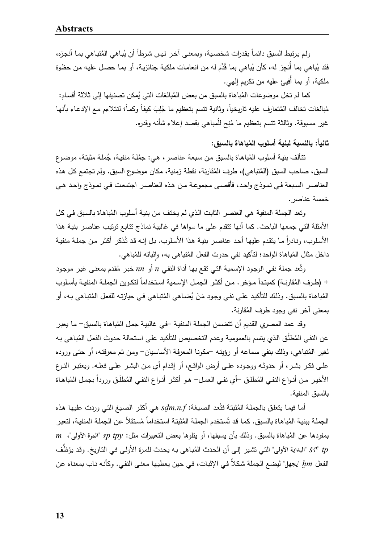ولم يرتبط السبق دائمـا بقدرات شخصـيـة، وبمعنـى اخـر ليس شرطا أن يُبـاهي المُتبـاهي بمـا أنجزه، فقد يُباهي بما أنجِز له، كأن يُباهي بما قُدِّمَ له من انعامات ملكية جنائزية، أو بما حصـل عليـه من حظوة<br>. ملكیة، أو بما أُفیئ علیه من تكریم إلهي.

كما لم تخل موضوعات المُباهاة بالسبق من بعض المُبالغات التي يُمكن تصنيفها إلى ثلاثة أقسام: مُبالغات تخالف المُتعارف عليه تاريخياً، وثانية تتسم بتعظيم ما جُلِبَ كيفاً وكماً؛ لنتلاءم مـع الإدعاء بأنـها غير مسبوقة. وثالثة نتسم بتعظيم ما مُنِح للُمباهي بقصد إعلاء شأنه وقدره.

ثانيا : بالنسبة لبنية أسلوب المُباهاة بالسبق:<br>.

تنَالف بنيـة أسلوب المُباهاة بالسبق من سبعة عناصـر ، هي: جمُلـة منفيـة، جُملـة مثبتـة، موضـوع السبق، صاحب السبق (المُتباهي)، طرف المُقارنة، نقطة زمنية، مكان موضوع السبق. ولم تجتمع كل هذه العناصــر الســبعة فــي نمــوذج واحــد، فأقصــى مجموعــة مــن هــذه العناصــر اجتمعــت فــي نمــوذج واحــد هــي خمسة عناصر.

وتعد الجملة المنفية هي العنصر الثابت الذي لم يختف من بنية أسلوب المُباهاة بالسبق في كل الأمثلة التي جمعها الباحث. كما أنها تتقدم على ما سواها في غالبیة نماذج تتـابع ترتیـب عناصـر بنیـة هـذا الأسلوب، ونـادرا مـا يتقدم عليهـا أحـد عناصـر بنيـة هذا الأسلوب. بـل إنـه قد تُذكر أكثـر مـن جملـة منفيـة داخل مثال المُباهاة الواحد؛ لتأكيد نفي حدوث الفعل المُتباهى به، وإِثباته للمُباهي.

وتُعد جملة نفي الوجود الإسمية التي تقع بها أداة النفي n أو *nn* خبر مُقدم بمعنى غير موجود + (طـرف المُقارنــة) كمبتـدأ مـؤخر . مـن أكثـر الجمـل الإسـمية اسـتخداما لتكـوين الجملــة المنفيــة بأسـلوب المُباهاة بالسبق. وذلك للتأكيد علـى نفـي وجود مَنْ يُضـاهي المُتباهي فـي حيازتـه للفعل المُتباهى بـه، أو بمعنى آخر نفي وجود طرف الم ُقارنة.

وقد عمد المصري القديم أن نتضمن الجملة المنفية –في غالبية جمل المُباهاة بالسبق– ما يعبر عن النفي المُطلَّق الذي يتسم بالعمومية وعدم التخصيص للتأكيد على استحالة حدوث الفعل المُباهى بـه لغیر المُتباهى، وذلك بنفى سماعه أو رؤيته –مكونـا المعرفـة الأساسيان- ومن ثـم معرفتـه، أو حتـى وروده علـى فكــر بشــر، أو حدوثـه ووجــوده علــى أرض الواقــع، أو إقـدام أي مــن البشـر علــى فعلــه. ویعتبـر النــوع الأخير من أنــواع النفــي المُطلـق –أي نفـي الـعمـل– هـو أكثـر أنــواع النفــي المُطلـق ورودا بـجمـل المُباهـاة بالسبق المنفیة.

أمـا فيمـا يتعلق بالجملـة المُثبتـة فتُعد الصـيـغة: *sdm.n.f هـي* أكثـر الصـيـغ التـي وردت عليهـا هذه الجملـة ببنيـة المُباهـاة بالسبق. كمـا قد تُستخدم الجملـة المُثبتـة استخداما مُستقلا عن الجملـة المنفيـة، لتعبر ب بمفردها عن الم اهاة بالسبق. وذلك بأن یسبقها، أو یتلوها بعض التعبیرات مثل: *tpy sp*" **المرة الأولـى**"، *m* ُ َّ " التـي تشـیر إلـى أن الحـدث الم ـف ُ *tp SAa*" **البدايـة الأولـى** بـاهى بـه یحـدث للمـرة الأولـى فـي التـاریخ. ُظ وقـد یو الفعل  $\bm{m}$  "يجهل" ليضـع الـجملة شكلاً في الإثبات، في حين يعطيها معنـى النفي. وكأنـه نـاب بمعنـاه عن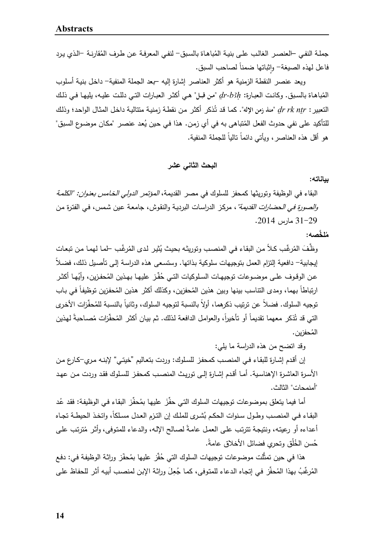جملـة النفـي –العنصـر الـغالـب علـي بنيـة المُباهـاة بالسبق– لنفـي المعرفـة عن طرف المُقارنـة –الذي برد فاعل لهذه الصيغة– وإثباتها ضمنا لصاحب السبق.

ویعد عنصر النقطة الزمنیة هو أكثر العناصر إشارة إلیه –بعد الجملة المنفیة- داخـل بنیـة أسـلوب المُباهـاة بالسبق. وكانـت العبـارة: *dr-b3h "من قبـ*ل" هـي أكثـر العبـارات التـي دللـت عليـه، يليهـا فـي ذلك التعبیر : *dr rk ntr* "منذ زمن الإله". كمـا قد تُذكر أكثر من نقطـة زمنيـة متتاليـة داخـل المثـال الواحد؛ وذلك للتأكيد على نفي حدوث الفعل المُتباهى به في أي زمن. هذا في حين يُعد عنصر "مكان موضوع السبق" هو أقل هذه العناصر ، ويأتي دائما ناليا للجملة المنفية.

**البحث الثاني عشر** 

**بیاناته:** 

البقاء في الوظیفة وتوریثها كمحفز للسلوك في مصر القدیمة، المؤتمر الدولي الخـامس بعنـوان: "الكلمـة *والصورة في الحضارات القديمة"* ، مركـز الدراسـات البرديـة والنقوش، جامعـة عين شمس، فـي الفترة مـن 31-29 مارس .2014

**م ُ َّ لخصه:**

وظَّفَ المُرغِّب كلاً من البقاء في المنصب وتوريثه بحيث يُثير لدى المُرغَّب لمما لهما من تبعات ً إیجابیة- دافعیة إلتزام العمل بتوجیهات سلوكیة بـذاتها. وستسـعى هـذه الدراسـة إلـى تأصـیل ذلـك، فضـلا عن الوقوف علــى موضــوعات توجيهـات السـلوكيات التــي حُفّـز عليهـا بـهذين المُحفزين، وأيُهـا أكثـر ارتباطا بهما، ومدى النتاسب بينها وبين هذين المُحفزين، وكذلك أكثر هذين المُحفزين توظيفا في بـاب توجيه السلوك. فضلاً عن ترتيب ذكرهما، أولاً بالنسبة لتوجيه السلوك، وثانياً بالنسبة للمُحفِّزات الأخرى التي قد تُذكر معهما تقديماً أو تأخيراً، والعوامل الدافعة لذلك. ثم بيان أكثر المُحفّزات مُصـاحبةً لمهذين الم ُحفزین.

وقد اتضح من هذه الدراسة ما یلي:

إن أقـدم إشـارة للبقـاء فـي المنصـب كمحفـز للسـلوك: وردت بتعـالیم "خیتـي" لإبنـه مـري-كـارع مـن الأســرة العاشــرة الإهناسـیة. أمــا أقـدم إشــارة إلــى توریـث المنصـب كمحفــز للســلوك فقـد وردت مـن عهــد "أمنمحات" الثالث.

أما فيما يتعلق بموضوعات توجيهات السلوك التـي حفَّزَ عليها بمُحفِّز البقاء فـي الوظيفة: فقد عُد البقـاء فـي المنصـب وطـول سـنوات الـحكم بُشـرى للملك إن التـزم الـعـدل مسـلكا، واتـخـذ الـحيطــة تجـاء أعداءه أو رعيته، ونتيجة تترتب علـى العمل عامـة لصـالح الإلـه، والدعاء للمتوفى، وأثر مُترتب علـى حُسن الْخُلْق وتحري فضائل الأخلاق عامة.

هذا في حين تمثَّلت موضوعات توجيهات السلوك التي حُفِّز عليها بمُحفّز وراثـة الوظيفـة فـي: دفـع المُرغِّبُ بهذا المُحفِّز في إتجاه الدعاء للمتوفى، كما جُعِلَ وراثة الإبن لمنصب أبيه أثر للحفاظ على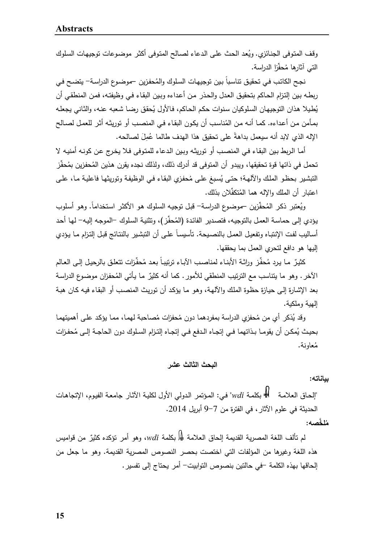وقف المتوفى الجنائزي. وبُعد الحث على الدعاء لصـالح المتوفى أكثر موضوعات توجبهات السلوك التي آثارها مُحفِّزا الدراسة.<br>.

نجح الكاتب في تحقيق تتاسبا بين توجيهات السلوك والمُحفزين —موضـوع الدراسـة— يتضـح في ربطـه بـین إلتـزام الحـاكم بتحقیـق العـدل والحـذر مـن أعـداءه وبـین البقـاء فـي وظیفتـه، فمـن المنطقـي أن يُطبلا هذان التوجیهان السلوكیان سنوات حكم الحاكم، فالأول بُحقق رضبا شعبه عنـه، والثـاني بجعلـه بمـأمن مـن أعداءه. كمـا أنـه مـن المُناسب أن يكون البقاء فـي المنصـب أو توريثـه أثـر للعمـل لصـالح الإله الذي لابد أنه سيعمل بداهةً على تحقيق هذا الهدف طالما عُمِلَ لصالحه.

أمـا الـربط بـین البقـاء فـي المنصـب أو توریثـه وبـین الـدعاء للمتـوفى فـلا یخـرج عـن كونـه أمنیـه لا تحمل في ذاتها قوة تحقيقها، ويبدو أن المتوفى قد أدرك ذلك، ولذلك نجده يقرن هذين المُحفزين بمُحفِّز التبشير بحظو الملك والألهـة؛ حتـى يُسبغ علـى مُحفزي البقاء فـي الوظيفـة وتوريثـهـا فاعليـة مـا، علـى اعتبار أن الملك والإله هما المُتكفِّلان بذلك.

ويُعتبر ذكر المُحفِّزين –موضـوع الدراسـة– قبل توجيـه السلوك هو الأكثر استخداماً. وهو أسلوب يؤدي إلـى حماسـة العمل بالتوجيـه، فتصـدير الفائدة (المُحفِّز )، وتثنيـة السلوك –الموجـه إليـه– لـها أحد أسـاليب لفت الإنتبـاه وتفعيـل الـعمـل بالنصـيـحة. تأسيسـا علـي أن التبشـير بالنتـائج قبـل إلتـزام مـا يـؤدي إلیها هو دافع لتحري العمل بما یحققها.

كثيرٌ ما يرد مُحفِّز وراثـة الأبنـاء لمناصب الآبـاء ترتيبـاً بعد مُحفِّزات تتعلق بالرحيل إلـى العـالم الآخر . وهو ما يتناسب مع الترتيب المنطقي للأمور . كما أنه كثيرٌ ما يأتي المُحفزان موضـوع الدراسـة بعد الإشـارة إلـى حیـازة حظـوة الملـك والآلهـة، وهـو مـا یؤكـد أن توریـث المنصـب أو البقـاء فیـه كـان هبـة إلهیة وملكیة.

رقد يُذكر أي من مُحفزي الدراسة بمفردهما دون مُحفزات مُصـاحبة لمهمـا، ممـا يؤكد علـى أهميتهمـا بحيث يُمكـن أن يقومــا بـذاتهما فـي إتجــاه الـدفـع فـي إتجــاه إلتـزام السـلوك دون الحاجــة إلــى مُحفـزات م ُعاونة.

## **البحث الثالث عشر**

**بیاناته:** 

"إلحـاق العلامـة بكلمـة *wdi* "فـي: المـؤتمر الـدولي الأول لكلیـة الآثـار جامعـة الفیـوم، الإتجاهـات الحدیثة في علوم الآثار، في الفترة من 9-7 أبریل .2014

**م ُ َّ لخصه:**

لم تألف اللغة المصرية القديمة إلحاق العلامة ۞ له *wdi*، وهو أمر تؤكده كثيرٌ من قواميس هذه اللغة وغیرها من المؤلفات التي اختصت بحصر النصوص المصریة القدیمة. وهو ما جعل من إلحاقها بهذه الكلمة -في حالتین بنصوص التوابیت- أمر یحتاج إلى تفسیر.